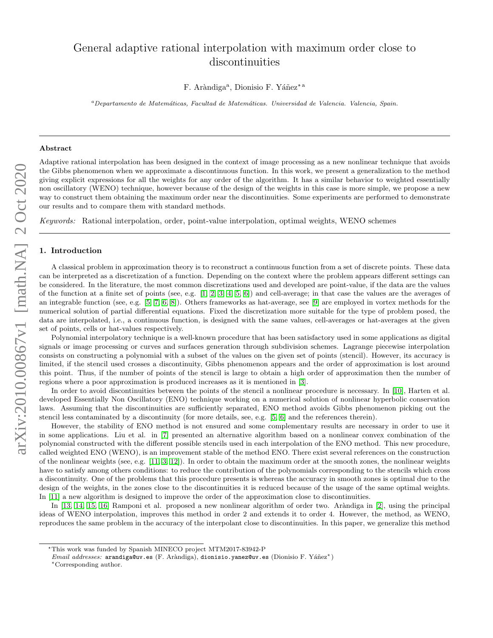# General adaptive rational interpolation with maximum order close to discontinuities

F. Aràndiga<sup>a</sup>, Dionisio F. Yáñez<sup>\*a</sup>

<sup>a</sup>Departamento de Matemáticas, Facultad de Matemáticas. Universidad de Valencia. Valencia, Spain.

#### Abstract

Adaptive rational interpolation has been designed in the context of image processing as a new nonlinear technique that avoids the Gibbs phenomenon when we approximate a discontinuous function. In this work, we present a generalization to the method giving explicit expressions for all the weights for any order of the algorithm. It has a similar behavior to weighted essentially non oscillatory (WENO) technique, however because of the design of the weights in this case is more simple, we propose a new way to construct them obtaining the maximum order near the discontinuities. Some experiments are performed to demonstrate our results and to compare them with standard methods.

Keywords: Rational interpolation, order, point-value interpolation, optimal weights, WENO schemes

## 1. Introduction

A classical problem in approximation theory is to reconstruct a continuous function from a set of discrete points. These data can be interpreted as a discretization of a function. Depending on the context where the problem appears different settings can be considered. In the literature, the most common discretizations used and developed are point-value, if the data are the values of the function at a finite set of points (see, e.g. [\[1,](#page-12-0) [2,](#page-12-1) [3,](#page-12-2) [4,](#page-12-3) [5,](#page-12-4) [6\]](#page-12-5)) and cell-average; in that case the values are the averages of an integrable function (see, e.g. [\[5,](#page-12-4) [7,](#page-12-6) [6,](#page-12-5) [8\]](#page-12-7)). Others frameworks as hat-average, see [\[9\]](#page-12-8) are employed in vortex methods for the numerical solution of partial differential equations. Fixed the discretization more suitable for the type of problem posed, the data are interpolated, i.e., a continuous function, is designed with the same values, cell-averages or hat-averages at the given set of points, cells or hat-values respectively.

Polynomial interpolatory technique is a well-known procedure that has been satisfactory used in some applications as digital signals or image processing or curves and surfaces generation through subdivision schemes. Lagrange piecewise interpolation consists on constructing a polynomial with a subset of the values on the given set of points (stencil). However, its accuracy is limited, if the stencil used crosses a discontinuity, Gibbs phenomenon appears and the order of approximation is lost around this point. Thus, if the number of points of the stencil is large to obtain a high order of approximation then the number of regions where a poor approximation is produced increases as it is mentioned in [\[3\]](#page-12-2).

In order to avoid discontinuities between the points of the stencil a nonlinear procedure is necessary. In [\[10\]](#page-12-9), Harten et al. developed Essentially Non Oscillatory (ENO) technique working on a numerical solution of nonlinear hyperbolic conservation laws. Assuming that the discontinuities are sufficiently separated, ENO method avoids Gibbs phenomenon picking out the stencil less contaminated by a discontinuity (for more details, see, e.g. [\[5,](#page-12-4) [6\]](#page-12-5) and the references therein).

However, the stability of ENO method is not ensured and some complementary results are necessary in order to use it in some applications. Liu et al. in [\[7\]](#page-12-6) presented an alternative algorithm based on a nonlinear convex combination of the polynomial constructed with the different possible stencils used in each interpolation of the ENO method. This new procedure, called weighted ENO (WENO), is an improvement stable of the method ENO. There exist several references on the construction of the nonlinear weights (see, e.g. [\[11,](#page-12-10) [3,](#page-12-2) [12\]](#page-12-11)). In order to obtain the maximum order at the smooth zones, the nonlinear weights have to satisfy among others conditions: to reduce the contribution of the polynomials corresponding to the stencils which cross a discontinuity. One of the problems that this procedure presents is whereas the accuracy in smooth zones is optimal due to the design of the weights, in the zones close to the discontinuities it is reduced because of the usage of the same optimal weights. In [\[11\]](#page-12-10) a new algorithm is designed to improve the order of the approximation close to discontinuities.

In [\[13,](#page-12-12) [14,](#page-12-13) [15,](#page-12-14) [16\]](#page-13-0) Ramponi et al. proposed a new nonlinear algorithm of order two. Aràndiga in [\[2\]](#page-12-1), using the principal ideas of WENO interpolation, improves this method in order 2 and extends it to order 4. However, the method, as WENO, reproduces the same problem in the accuracy of the interpolant close to discontinuities. In this paper, we generalize this method

<sup>⋆</sup>This work was funded by Spanish MINECO project MTM2017-83942-P

 $Email \ addresses: \ arandiga@uv. es (F. Aràndiga), dionisio. yanez@uv. es (Dionisio F. Yáñez*)$ <sup>∗</sup>Corresponding author.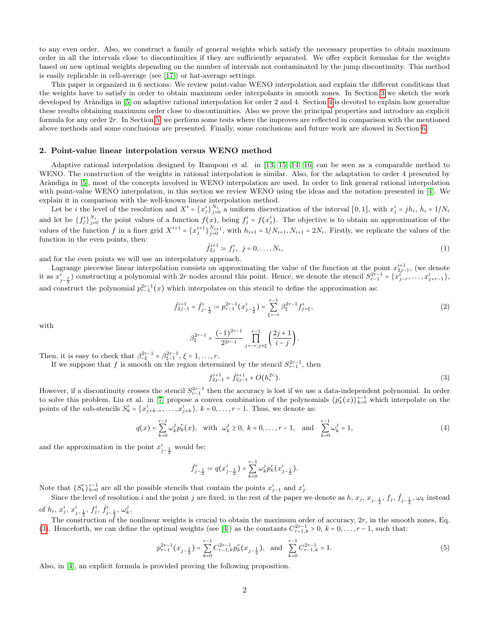to any even order. Also, we construct a family of general weights which satisfy the necessary properties to obtain maximum order in all the intervals close to discontinuities if they are sufficiently separated. We offer explicit formulas for the weights based on new optimal weights depending on the number of intervals not contaminated by the jump discontinuity. This method is easily replicable in cell-average (see [\[17\]](#page-13-1)) or hat-average settings.

This paper is organized in 6 sections: We review point-value WENO interpolation and explain the different conditions that the weights have to satisfy in order to obtain maximum order interpolants in smooth zones. In Section [3](#page-3-0) we sketch the work developed by Aràndiga in [\[5\]](#page-12-4) on adaptive rational interpolation for order 2 and [4](#page-6-0). Section 4 is devoted to explain how generalize these results obtaining maximum order close to discontinuities. Also we prove the principal properties and introduce an explicit formula for any order 2r. In Section [5,](#page-11-0) we perform some tests where the improves are reflected in comparison with the mentioned above methods and some conclusions are presented. Finally, some conclusions and future work are showed in Section [6.](#page-12-15)

## <span id="page-1-2"></span>2. Point-value linear interpolation versus WENO method

Adaptive rational interpolation designed by Ramponi et al. in [\[13,](#page-12-12) [15,](#page-12-14) [14,](#page-12-13) [16\]](#page-13-0) can be seen as a comparable method to WENO. The construction of the weights in rational interpolation is similar. Also, for the adaptation to order 4 presented by Aràndiga in [\[5\]](#page-12-4), most of the concepts involved in WENO interpolation are used. In order to link general rational interpolation with point-value WENO interpolation, in this section we review WENO using the ideas and the notation presented in [\[4\]](#page-12-3). We explain it in comparison with the well-known linear interpolation method.

Let be *i* the level of the resolution and  $X^i = \{x_j^i\}_{j=0}^{N_i}$  a uniform discretization of the interval  $[0,1]$ , with  $x_j^i = jh_i$ ,  $h_i = 1/N_i$ and let be  $\{f_j^i\}_{j=0}^{N_i}$  the point values of a function  $f(x)$ , being  $f_j^i = f(x_j^i)$ . The objective is to obtain an approximation of the values of the function f in a finer grid  $X^{i+1} = \{x_j^{i+1}\}_{j=0}^{N_{i+1}}$ , with  $h_{i+1} = 1/N_{i+1}$ ,  $N_{i+1} = 2N_i$ . Firstly, we replicate the values of the function in the even points, then:

<span id="page-1-1"></span>
$$
\hat{f}_{2j}^{i+1} := f_j^i, \ \ j = 0, \dots, N_i,
$$
\n(1)

and for the even points we will use an interpolatory approach.

Lagrange piecewise linear interpolation consists on approximating the value of the function at the point  $x_{2j-1}^{i+1}$ , (we denote it as  $x_{j-\frac{1}{2}}^i$ ) constructing a polynomial with 2r nodes around this point. Hence, we denote the stencil  $S_{r-1}^{2r-1} = \{x_{j-r}^i, \ldots, x_{j+r-1}^i\}$ , and construct the polynomial  $p_{r-1}^{2r-1}(x)$  which interpolates on this stencil to define the approximation as:

$$
\hat{f}_{2j-1}^{i+1} = \hat{f}_{j-\frac{1}{2}}^{i} := p_{r-1}^{2r-1}(x_{j-\frac{1}{2}}^{i}) = \sum_{\xi=-r}^{r-1} \beta_{\xi}^{2r-1} f_{j+\xi}^{i},\tag{2}
$$

with

$$
\beta_{\xi}^{2r-1} = \frac{(-1)^{2r-1}}{2^{2r-1}} \prod_{j=-r, j \neq \xi}^{r-1} \left( \frac{2j+1}{i-j} \right).
$$

Then, it is easy to check that  $\beta_{-\xi}^{2r-1} = \beta_{\xi-1}^{2r-1}, \xi = 1, \ldots, r$ .

If we suppose that f is smooth on the region determined by the stencil  $S_{r-1}^{2r-1}$ , then

<span id="page-1-0"></span>
$$
f_{2j-1}^{i+1} = \hat{f}_{2j-1}^{i+1} + O(h_i^{2r}).
$$
\n(3)

However, if a discontinuity crosses the stencil  $S_{r-1}^{2r-1}$  then the accuracy is lost if we use a data-independent polynomial. In order to solve this problem, Liu et al. in [\[7\]](#page-12-6) propose a convex combination of the polynomials  $\{p_k^r(x)\}_{k=0}^{r-1}$  which interpolate on the points of the sub-stencils  $S_k^r = \{x_{j+k-r}^i, \ldots, x_{j+k}^i\}, k = 0, \ldots, r-1$ . Thus, we denote as:

$$
q(x) = \sum_{k=0}^{r-1} \omega_k^j p_k^r(x), \text{ with } \omega_k^j \ge 0, \ k = 0, \dots, r-1, \text{ and } \sum_{k=0}^{r-1} \omega_k^j = 1,
$$
 (4)

and the approximation in the point  $x_{j-\frac{1}{2}}^i$  would be:

$$
\hat{f}^i_{j-\frac{1}{2}} \coloneqq q(x^i_{j-\frac{1}{2}}) = \sum_{k=0}^{r-1} \omega^j_k p^r_k(x^i_{j-\frac{1}{2}}).
$$

Note that  $\{S_k^r\}_{k=0}^{r-1}$  are all the possible stencils that contain the points  $x_{j-1}^i$  and  $x_j^i$ .

Since the level of resolution i and the point j are fixed, in the rest of the paper we denote as  $h, x_j, x_{j-\frac{1}{2}}, f_j, \hat{f}_{j-\frac{1}{2}}, \omega_k$  instead of  $h_i, x_j^i, x_{j-\frac{1}{2}}^i, f_j^i, \hat{f}_{j-\frac{1}{2}}^i, \omega_k^j$ .

The construction of the nonlinear weights is crucial to obtain the maximum order of accuracy,  $2r$ , in the smooth zones, Eq. [\(3\)](#page-1-0). Henceforth, we can define the optimal weights (see [\[4\]](#page-12-3)) as the constants  $C_{r-1,k}^{2r-1} > 0$ ,  $k = 0, \ldots, r-1$ , such that:

$$
p_{r-1}^{2r-1}(x_{j-\frac{1}{2}}) = \sum_{k=0}^{r-1} C_{r-1,k}^{2r-1} p_k^r(x_{j-\frac{1}{2}}), \text{ and } \sum_{k=0}^{r-1} C_{r-1,k}^{2r-1} = 1.
$$
 (5)

Also, in [\[4\]](#page-12-3), an explicit formula is provided proving the following proposition.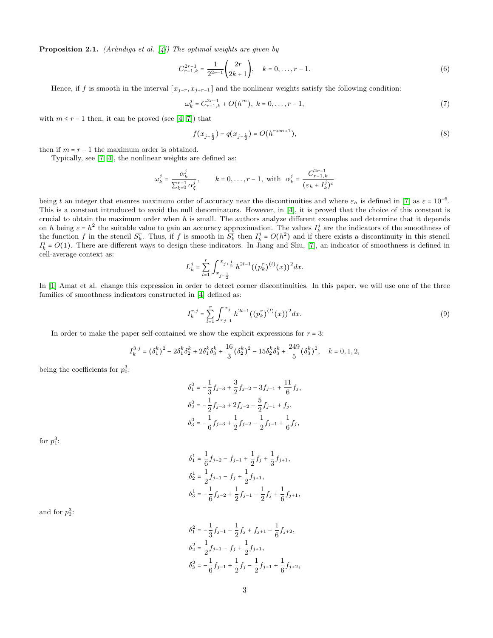<span id="page-2-2"></span>**Proposition 2.1.** (Aràndiga et al.  $[4]$ ) The optimal weights are given by

$$
C_{r-1,k}^{2r-1} = \frac{1}{2^{2r-1}} \binom{2r}{2k+1}, \quad k = 0, \dots, r-1.
$$
 (6)

Hence, if f is smooth in the interval  $[x_{j-r}, x_{j+r-1}]$  and the nonlinear weights satisfy the following condition:

$$
\omega_k^j = C_{r-1,k}^{2r-1} + O(h^m), \ k = 0, \dots, r-1,
$$
\n(7)

with  $m \le r - 1$  then, it can be proved (see [\[4,](#page-12-3) [7\]](#page-12-6)) that

<span id="page-2-1"></span>
$$
f(x_{j-\frac{1}{2}}) - q(x_{j-\frac{1}{2}}) = O(h^{r+m+1}),
$$
\n(8)

then if  $m = r - 1$  the maximum order is obtained.

Typically, see [\[7,](#page-12-6) [4\]](#page-12-3), the nonlinear weights are defined as:

$$
\omega_k^j = \frac{\alpha_k^j}{\sum_{\xi=0}^{r-1} \alpha_\xi^j}, \qquad k = 0, \dots, r-1, \text{ with } \alpha_k^j = \frac{C_{r-1,k}^{2r-1}}{(\varepsilon_h + I_k^j)^t}
$$

being t an integer that ensures maximum order of accuracy near the discontinuities and where  $\varepsilon_h$  is defined in [\[7\]](#page-12-6) as  $\varepsilon = 10^{-6}$ . This is a constant introduced to avoid the null denominators. However, in [\[4\]](#page-12-3), it is proved that the choice of this constant is crucial to obtain the maximum order when  $h$  is small. The authors analyze different examples and determine that it depends on h being  $\varepsilon = h^2$  the suitable value to gain an accuracy approximation. The values  $I_k^j$  are the indicators of the smoothness of the function f in the stencil  $S_k^r$ . Thus, if f is smooth in  $S_k^r$  then  $I_k^j = O(h^2)$  and if there exists a discontinuity in this stencil  $I_k^j = O(1)$ . There are different ways to design these indicators. In Jiang and Shu, [\[7\]](#page-12-6), an indicator of smoothness is defined in cell-average context as:

$$
L_k^j = \sum_{l=1}^r \int_{x_{j-\frac{1}{2}}}^{x_{j+\frac{1}{2}}} h^{2l-1} ((p_k^r)^{(l)}(x))^2 dx.
$$

In [\[1\]](#page-12-0) Amat et al. change this expression in order to detect corner discontinuities. In this paper, we will use one of the three families of smoothness indicators constructed in [\[4\]](#page-12-3) defined as:

<span id="page-2-0"></span>
$$
I_k^{r,j} = \sum_{l=1}^r \int_{x_{j-1}}^{x_j} h^{2l-1} ((p_k^r)^{(l)}(x))^2 dx.
$$
 (9)

In order to make the paper self-contained we show the explicit expressions for  $r = 3$ :

$$
I_{k}^{3,j}=(\delta_{1}^{k})^{2}-2\delta_{1}^{k}\delta_{2}^{k}+2\delta_{1}^{k}\delta_{3}^{k}+\frac{16}{3}\big(\delta_{2}^{k}\big)^{2}-15\delta_{2}^{k}\delta_{3}^{k}+\frac{249}{5}\big(\delta_{3}^{k}\big)^{2},\quad k=0,1,2,
$$

being the coefficients for  $p_0^3$ :

$$
\begin{aligned} \delta_1^0&=-\frac{1}{3}f_{j-3}+\frac{3}{2}f_{j-2}-3f_{j-1}+\frac{11}{6}f_j,\\ \delta_2^0&=-\frac{1}{2}f_{j-3}+2f_{j-2}-\frac{5}{2}f_{j-1}+f_j,\\ \delta_3^0&=-\frac{1}{6}f_{j-3}+\frac{1}{2}f_{j-2}-\frac{1}{2}f_{j-1}+\frac{1}{6}f_j, \end{aligned}
$$

for  $p_1^3$ :

$$
\delta_1^1 = \frac{1}{6} f_{j-2} - f_{j-1} + \frac{1}{2} f_j + \frac{1}{3} f_{j+1},
$$
  
\n
$$
\delta_2^1 = \frac{1}{2} f_{j-1} - f_j + \frac{1}{2} f_{j+1},
$$
  
\n
$$
\delta_3^1 = -\frac{1}{6} f_{j-2} + \frac{1}{2} f_{j-1} - \frac{1}{2} f_j + \frac{1}{6} f_{j+1},
$$

and for  $p_2^3$ :

$$
\delta_1^2 = -\frac{1}{3}f_{j-1} - \frac{1}{2}f_j + f_{j+1} - \frac{1}{6}f_{j+2},
$$
  
\n
$$
\delta_2^2 = \frac{1}{2}f_{j-1} - f_j + \frac{1}{2}f_{j+1},
$$
  
\n
$$
\delta_3^2 = -\frac{1}{6}f_{j-1} + \frac{1}{2}f_j - \frac{1}{2}f_{j+1} + \frac{1}{6}f_{j+2},
$$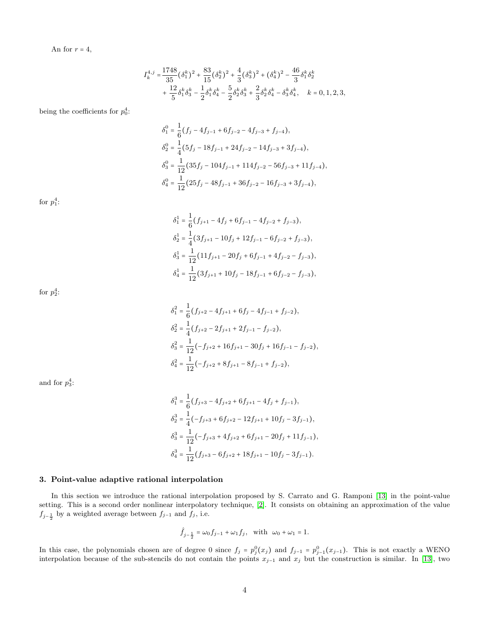An for  $r = 4$ ,

$$
I_{k}^{4,j} = \frac{1748}{35} (\delta_{1}^{k})^{2} + \frac{83}{15} (\delta_{2}^{k})^{2} + \frac{4}{3} (\delta_{3}^{k})^{2} + (\delta_{4}^{k})^{2} - \frac{46}{3} \delta_{1}^{k} \delta_{2}^{k} + \frac{12}{5} \delta_{1}^{k} \delta_{3}^{k} - \frac{1}{2} \delta_{1}^{k} \delta_{4}^{k} - \frac{5}{2} \delta_{2}^{k} \delta_{3}^{k} + \frac{2}{3} \delta_{2}^{k} \delta_{4}^{k} - \delta_{3}^{k} \delta_{4}^{k}, \quad k = 0, 1, 2, 3,
$$

being the coefficients for  $p_0^4$ :

$$
\delta_1^0 = \frac{1}{6} (f_j - 4f_{j-1} + 6f_{j-2} - 4f_{j-3} + f_{j-4}),
$$
  
\n
$$
\delta_2^0 = \frac{1}{4} (5f_j - 18f_{j-1} + 24f_{j-2} - 14f_{j-3} + 3f_{j-4}),
$$
  
\n
$$
\delta_3^0 = \frac{1}{12} (35f_j - 104f_{j-1} + 114f_{j-2} - 56f_{j-3} + 11f_{j-4}),
$$
  
\n
$$
\delta_4^0 = \frac{1}{12} (25f_j - 48f_{j-1} + 36f_{j-2} - 16f_{j-3} + 3f_{j-4}),
$$

for  $p_1^4$ :

$$
\delta_1^1 = \frac{1}{6} (f_{j+1} - 4f_j + 6f_{j-1} - 4f_{j-2} + f_{j-3}),
$$
  
\n
$$
\delta_2^1 = \frac{1}{4} (3f_{j+1} - 10f_j + 12f_{j-1} - 6f_{j-2} + f_{j-3}),
$$
  
\n
$$
\delta_3^1 = \frac{1}{12} (11f_{j+1} - 20f_j + 6f_{j-1} + 4f_{j-2} - f_{j-3}),
$$
  
\n
$$
\delta_4^1 = \frac{1}{12} (3f_{j+1} + 10f_j - 18f_{j-1} + 6f_{j-2} - f_{j-3}),
$$

for  $p_2^4$ :

$$
\delta_1^2 = \frac{1}{6} (f_{j+2} - 4f_{j+1} + 6f_j - 4f_{j-1} + f_{j-2}),
$$
  
\n
$$
\delta_2^2 = \frac{1}{4} (f_{j+2} - 2f_{j+1} + 2f_{j-1} - f_{j-2}),
$$
  
\n
$$
\delta_3^2 = \frac{1}{12} (-f_{j+2} + 16f_{j+1} - 30f_j + 16f_{j-1} - f_{j-2}),
$$
  
\n
$$
\delta_4^2 = \frac{1}{12} (-f_{j+2} + 8f_{j+1} - 8f_{j-1} + f_{j-2}),
$$

and for  $p_3^4$ :

$$
\delta_1^3 = \frac{1}{6} (f_{j+3} - 4f_{j+2} + 6f_{j+1} - 4f_j + f_{j-1}),
$$
  
\n
$$
\delta_2^3 = \frac{1}{4} (-f_{j+3} + 6f_{j+2} - 12f_{j+1} + 10f_j - 3f_{j-1}),
$$
  
\n
$$
\delta_3^3 = \frac{1}{12} (-f_{j+3} + 4f_{j+2} + 6f_{j+1} - 20f_j + 11f_{j-1}),
$$
  
\n
$$
\delta_4^3 = \frac{1}{12} (f_{j+3} - 6f_{j+2} + 18f_{j+1} - 10f_j - 3f_{j-1}).
$$

# <span id="page-3-0"></span>3. Point-value adaptive rational interpolation

In this section we introduce the rational interpolation proposed by S. Carrato and G. Ramponi [\[13\]](#page-12-12) in the point-value setting. This is a second order nonlinear interpolatory technique, [\[2\]](#page-12-1). It consists on obtaining an approximation of the value  $f_{j-\frac{1}{2}}$  by a weighted average between  $f_{j-1}$  and  $f_j$ , i.e.

$$
\hat{f}_{j-\frac{1}{2}} = \omega_0 f_{j-1} + \omega_1 f_j, \text{ with } \omega_0 + \omega_1 = 1.
$$

In this case, the polynomials chosen are of degree 0 since  $f_j = p_j^0(x_j)$  and  $f_{j-1} = p_{j-1}^0(x_{j-1})$ . This is not exactly a WENO interpolation because of the sub-stencils do not contain the points  $x_{j-1}$  and  $x_j$  but the construction is similar. In [\[13\]](#page-12-12), two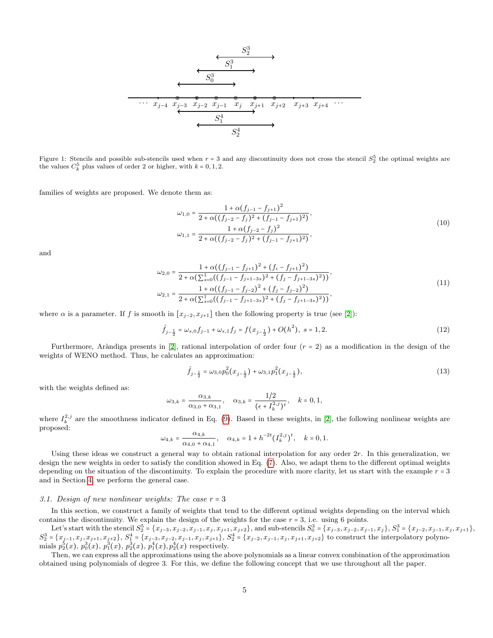<span id="page-4-0"></span>
$$
\begin{array}{c}\n\begin{array}{c}\nS_2^3 \\
S_1^3 \\
\hline\n\end{array} \\
\hline\n\end{array}
$$
\n
$$
\begin{array}{c}\nS_3^3 \\
\hline\n\end{array}
$$
\n
$$
\begin{array}{c}\n\downarrow \\
\hline\nS_0^3 \\
\hline\n\end{array}
$$
\n
$$
\begin{array}{c}\n\downarrow \\
\hline\nS_1^2 \\
\hline\n\end{array}
$$
\n
$$
\begin{array}{c}\nS_2^3 \\
\hline\n\end{array}
$$
\n
$$
\begin{array}{c}\n\downarrow \\
\hline\nS_1^4 \\
\hline\n\end{array}
$$
\n
$$
\begin{array}{c}\nS_2^4 \\
\hline\n\end{array}
$$

Figure 1: Stencils and possible sub-stencils used when  $r = 3$  and any discontinuity does not cross the stencil  $S_2^5$  the optimal weights are the values  $C_k^5$  plus values of order 2 or higher, with  $k = 0, 1, 2$ .

families of weights are proposed. We denote them as:

$$
\omega_{1,0} = \frac{1 + \alpha (f_{j-1} - f_{j+1})^2}{2 + \alpha ((f_{j-2} - f_j)^2 + (f_{j-1} - f_{j+1})^2)},
$$
  

$$
\omega_{1,1} = \frac{1 + \alpha (f_{j-2} - f_j)^2}{2 + \alpha ((f_{j-2} - f_j)^2 + (f_{j-1} - f_{j+1})^2)},
$$
\n(10)

and

$$
\omega_{2,0} = \frac{1 + \alpha((f_{j-1} - f_{j+1})^2 + (f_i - f_{j+1})^2)}{2 + \alpha(\sum_{s=0}^1((f_{j-1} - f_{j+1-ss})^2 + (f_j - f_{j+1-ss})^2))},
$$
  
\n
$$
\omega_{2,1} = \frac{1 + \alpha((f_{j-1} - f_{j-2})^2 + (f_j - f_{j-2})^2)}{2 + \alpha(\sum_{s=0}^1((f_{j-1} - f_{j+1-ss})^2 + (f_j - f_{j+1-ss})^2))},
$$
\n(11)

where  $\alpha$  is a parameter. If f is smooth in  $[x_{j-2}, x_{j+1}]$  then the following property is true (see [\[2\]](#page-12-1)):

$$
\hat{f}_{j-\frac{1}{2}} = \omega_{s,0} f_{j-1} + \omega_{s,1} f_j = f(x_{j-\frac{1}{2}}) + O(h^2), \ s = 1, 2. \tag{12}
$$

Furthermore, Aràndiga presents in [\[2\]](#page-12-1), rational interpolation of order four  $(r = 2)$  as a modification in the design of the weights of WENO method. Thus, he calculates an approximation:

$$
\hat{f}_{j-\frac{1}{2}} = \omega_{3,0} p_0^2(x_{j-\frac{1}{2}}) + \omega_{3,1} p_1^2(x_{j-\frac{1}{2}}),\tag{13}
$$

with the weights defined as:

$$
\omega_{3,k} = \frac{\alpha_{3,k}}{\alpha_{3,0} + \alpha_{3,1}}, \quad \alpha_{3,k} = \frac{1/2}{(\epsilon + I_k^{2,j})^t}, \quad k = 0, 1,
$$

where  $I_k^{2,j}$  are the smoothness indicator defined in Eq. [\(9\)](#page-2-0). Based in these weights, in [\[2\]](#page-12-1), the following nonlinear weights are proposed:

$$
\omega_{4,k} = \frac{\alpha_{4,k}}{\alpha_{4,0} + \alpha_{4,1}}, \quad \alpha_{4,k} = 1 + h^{-2t} (I_k^{2,j})^t, \quad k = 0, 1.
$$

Using these ideas we construct a general way to obtain rational interpolation for any order 2r. In this generalization, we design the new weights in order to satisfy the condition showed in Eq. [\(7\)](#page-2-1). Also, we adapt them to the different optimal weights depending on the situation of the discontinuity. To explain the procedure with more clarity, let us start with the example  $r = 3$ and in Section [4,](#page-6-0) we perform the general case.

### <span id="page-4-1"></span>3.1. Design of new nonlinear weights: The case  $r = 3$

In this section, we construct a family of weights that tend to the different optimal weights depending on the interval which contains the discontinuity. We explain the design of the weights for the case  $r = 3$ , i.e. using 6 points.

Let's start with the stencil  $S_2^5 = \{x_{j-3}, x_{j-2}, x_{j-1}, x_j, x_{j+1}, x_{j+2}\}$ , and sub-stencils  $S_0^3 = \{x_{j-3}, x_{j-2}, x_{j-1}, x_j\}$ ,  $S_1^3 = \{x_{j-2}, x_{j-1}, x_j, x_{j+1}\}$ ,  $S_2^3 = \{x_{j-1}, x_j, x_{j+1}, x_{j+2}\}, S_1^4 = \{x_{j-3}, x_{j-2}, x_{j-1}, x_j, x_{j+1}\}, S_2^4 = \{x_{j-2}, x_{j-1}, x_j, x_{j+1}, x_{j+2}\}$  to construct the interpolatory polynomials  $p_2^5(x)$ ,  $p_0^3(x)$ ,  $p_1^3(x)$ ,  $p_2^3(x)$ ,  $p_1^4(x)$ ,  $p_2^4(x)$  respectively.

Then, we can express all the approximations using the above polynomials as a linear convex combination of the approximation obtained using polynomials of degree 3. For this, we define the following concept that we use throughout all the paper.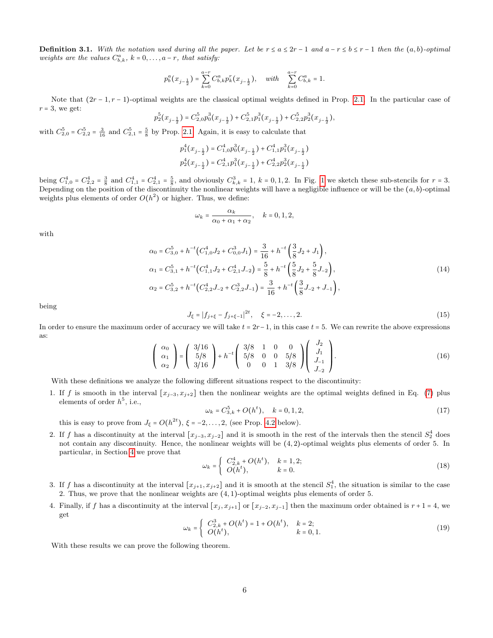<span id="page-5-3"></span>**Definition 3.1.** With the notation used during all the paper. Let be  $r \le a \le 2r - 1$  and  $a - r \le b \le r - 1$  then the  $(a, b)$ -optimal weights are the values  $C_{b,k}^a$ ,  $k = 0, \ldots, a - r$ , that satisfy:

$$
p_b^a\big(x_{j-\frac{1}{2}}\big)=\sum_{k=0}^{a-r}C_{b,k}^a p_k^r\big(x_{j-\frac{1}{2}}\big), \quad \text{ with }\quad \sum_{k=0}^{a-r}C_{b,k}^a=1.
$$

Note that  $(2r-1, r-1)$ -optimal weights are the classical optimal weights defined in Prop. [2.1.](#page-2-2) In the particular case of  $r = 3$ , we get:

$$
p_2^5(x_{j-\frac{1}{2}}) = C_{2,0}^5 p_0^3(x_{j-\frac{1}{2}}) + C_{2,1}^5 p_1^3(x_{j-\frac{1}{2}}) + C_{2,2}^5 p_2^3(x_{j-\frac{1}{2}}),
$$

with  $C_{2,0}^5 = C_{2,2}^5 = \frac{3}{16}$  and  $C_{2,1}^5 = \frac{5}{8}$  by Prop. [2.1.](#page-2-2) Again, it is easy to calculate that

$$
p_1^4(x_{j-\frac{1}{2}}) = C_{1,0}^4 p_0^3(x_{j-\frac{1}{2}}) + C_{1,1}^4 p_1^3(x_{j-\frac{1}{2}})
$$
  

$$
p_2^4(x_{j-\frac{1}{2}}) = C_{2,1}^4 p_1^3(x_{j-\frac{1}{2}}) + C_{2,2}^4 p_2^3(x_{j-\frac{1}{2}})
$$

being  $C_{1,0}^4 = C_{2,2}^4 = \frac{3}{8}$  and  $C_{1,1}^4 = C_{2,1}^4 = \frac{5}{8}$ , and obviously  $C_{k,k}^3 = 1$  $C_{k,k}^3 = 1$ ,  $k = 0,1,2$ . In Fig. 1 we sketch these sub-stencils for  $r = 3$ . Depending on the position of the discontinuity the nonlinear weights will have a negligible influence or will be the  $(a, b)$ -optimal weights plus elements of order  $O(h^2)$  or higher. Thus, we define:

$$
\omega_k = \frac{\alpha_k}{\alpha_0 + \alpha_1 + \alpha_2}, \quad k = 0, 1, 2,
$$

with

$$
\alpha_0 = C_{3,0}^5 + h^{-t} \left( C_{1,0}^4 J_2 + C_{0,0}^3 J_1 \right) = \frac{3}{16} + h^{-t} \left( \frac{3}{8} J_2 + J_1 \right),
$$
  
\n
$$
\alpha_1 = C_{3,1}^5 + h^{-t} \left( C_{1,1}^4 J_2 + C_{2,1}^4 J_{-2} \right) = \frac{5}{8} + h^{-t} \left( \frac{5}{8} J_2 + \frac{5}{8} J_{-2} \right),
$$
  
\n
$$
\alpha_2 = C_{3,2}^5 + h^{-t} \left( C_{2,2}^4 J_{-2} + C_{2,2}^3 J_{-1} \right) = \frac{3}{16} + h^{-t} \left( \frac{3}{8} J_{-2} + J_{-1} \right),
$$
\n(14)

being

$$
J_{\xi} = |f_{j+\xi} - f_{j+\xi-1}|^{2t}, \quad \xi = -2, \dots, 2.
$$
 (15)

In order to ensure the maximum order of accuracy we will take  $t = 2r-1$ , in this case  $t = 5$ . We can rewrite the above expressions as:  $\sqrt{I}$ 

<span id="page-5-0"></span>
$$
\begin{pmatrix} \alpha_0 \\ \alpha_1 \\ \alpha_2 \end{pmatrix} = \begin{pmatrix} 3/16 \\ 5/8 \\ 3/16 \end{pmatrix} + h^{-t} \begin{pmatrix} 3/8 & 1 & 0 & 0 \\ 5/8 & 0 & 0 & 5/8 \\ 0 & 0 & 1 & 3/8 \end{pmatrix} \begin{pmatrix} J_2 \\ J_1 \\ J_{-1} \\ J_{-2} \end{pmatrix}.
$$
 (16)

With these definitions we analyze the following different situations respect to the discontinuity:

1. If f is smooth in the interval  $[x_{j-3}, x_{j+2}]$  then the nonlinear weights are the optimal weights defined in Eq. [\(7\)](#page-2-1) plus elements of order  $h^5$ , i.e.,

$$
\omega_k = C_{3,k}^5 + O(h^t), \quad k = 0, 1, 2,
$$
\n(17)

this is easy to prove from  $J_{\xi} = O(h^{2t}), \xi = -2, \ldots, 2$ , (see Prop. [4.2](#page-7-0) below).

2. If f has a discontinuity at the interval  $[x_{j-3}, x_{j-2}]$  and it is smooth in the rest of the intervals then the stencil  $S_2^4$  does not contain any discontinuity. Hence, the nonlinear weights will be (4, 2)-optimal weights plus elements of order 5. In particular, in Section [4](#page-6-0) we prove that

<span id="page-5-1"></span>
$$
\omega_k = \begin{cases} C_{2,k}^4 + O(h^t), & k = 1, 2; \\ O(h^t), & k = 0. \end{cases}
$$
 (18)

- 3. If f has a discontinuity at the interval  $[x_{j+1}, x_{j+2}]$  and it is smooth at the stencil  $S_1^4$ , the situation is similar to the case 2. Thus, we prove that the nonlinear weights are (4, 1)-optimal weights plus elements of order 5.
- <span id="page-5-2"></span>4. Finally, if f has a discontinuity at the interval  $[x_j, x_{j+1}]$  or  $[x_{j-2}, x_{j-1}]$  then the maximum order obtained is  $r + 1 = 4$ , we get

$$
\omega_k = \begin{cases} C_{2,k}^3 + O(h^t) = 1 + O(h^t), & k = 2; \\ O(h^t), & k = 0, 1. \end{cases}
$$
 (19)

With these results we can prove the following theorem.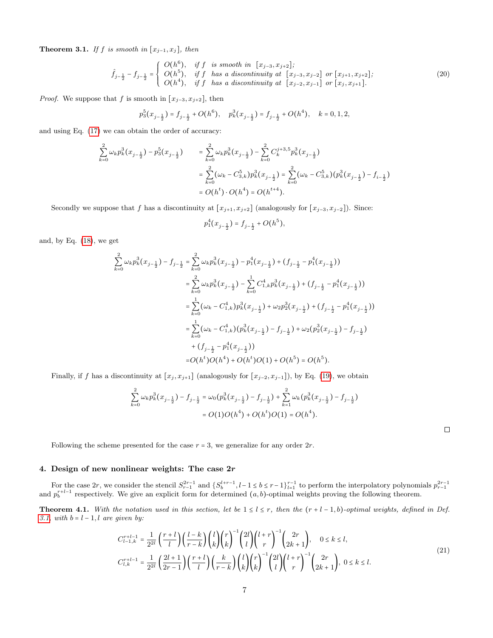Theorem 3.1. If f is smooth in  $[x_{j-1}, x_j]$ , then

$$
\hat{f}_{j-\frac{1}{2}} - f_{j-\frac{1}{2}} = \begin{cases}\nO(h^6), & \text{if } f \text{ is smooth in } [x_{j-3}, x_{j+2}]; \\
O(h^5), & \text{if } f \text{ has a discontinuity at } [x_{j-3}, x_{j-2}] \text{ or } [x_{j+1}, x_{j+2}]; \\
O(h^4), & \text{if } f \text{ has a discontinuity at } [x_{j-2}, x_{j-1}] \text{ or } [x_j, x_{j+1}].\n\end{cases} (20)
$$

*Proof.* We suppose that f is smooth in  $[x_{j-3}, x_{j+2}]$ , then

$$
p_3^5(x_{j-\frac{1}{2}}) = f_{j-\frac{1}{2}} + O(h^6), \quad p_k^3(x_{j-\frac{1}{2}}) = f_{j-\frac{1}{2}} + O(h^4), \quad k = 0, 1, 2,
$$

and using Eq. [\(17\)](#page-5-0) we can obtain the order of accuracy:

$$
\sum_{k=0}^{2} \omega_k p_k^3(x_{j-\frac{1}{2}}) - p_3^5(x_{j-\frac{1}{2}}) = \sum_{k=0}^{2} \omega_k p_k^3(x_{j-\frac{1}{2}}) - \sum_{k=0}^{2} C_k^{j+3.5} p_k^3(x_{j-\frac{1}{2}})
$$
  

$$
= \sum_{k=0}^{2} (\omega_k - C_{3,k}^5) p_k^3(x_{j-\frac{1}{2}}) = \sum_{k=0}^{2} (\omega_k - C_{3,k}^5) (p_k^3(x_{j-\frac{1}{2}}) - f_{i-\frac{1}{2}})
$$
  

$$
= O(h^t) \cdot O(h^4) = O(h^{t+4}).
$$

Secondly we suppose that f has a discontinuity at  $[x_{j+1}, x_{j+2}]$  (analogously for  $[x_{j-3}, x_{j-2}]$ ). Since:

$$
p_1^4(x_{j-\frac{1}{2}}) = f_{j-\frac{1}{2}} + O(h^5),
$$

and, by Eq. [\(18\)](#page-5-1), we get

$$
\sum_{k=0}^{2} \omega_k p_k^3 (x_{j-\frac{1}{2}}) - f_{j-\frac{1}{2}} = \sum_{k=0}^{2} \omega_k p_k^3 (x_{j-\frac{1}{2}}) - p_1^4 (x_{j-\frac{1}{2}}) + (f_{j-\frac{1}{2}} - p_1^4 (x_{j-\frac{1}{2}}))
$$
  
\n
$$
= \sum_{k=0}^{2} \omega_k p_k^3 (x_{j-\frac{1}{2}}) - \sum_{k=0}^{1} C_{1,k}^4 p_k^3 (x_{j-\frac{1}{2}}) + (f_{j-\frac{1}{2}} - p_1^4 (x_{j-\frac{1}{2}}))
$$
  
\n
$$
= \sum_{k=0}^{1} (\omega_k - C_{1,k}^4) p_k^3 (x_{j-\frac{1}{2}}) + \omega_2 p_2^3 (x_{j-\frac{1}{2}}) + (f_{j-\frac{1}{2}} - p_1^4 (x_{j-\frac{1}{2}}))
$$
  
\n
$$
= \sum_{k=0}^{1} (\omega_k - C_{1,k}^4) (p_k^3 (x_{j-\frac{1}{2}}) - f_{j-\frac{1}{2}}) + \omega_2 (p_2^3 (x_{j-\frac{1}{2}}) - f_{j-\frac{1}{2}})
$$
  
\n
$$
+ (f_{j-\frac{1}{2}} - p_1^4 (x_{j-\frac{1}{2}}))
$$
  
\n
$$
= O(h^4) O(h^4) + O(h^4) O(1) + O(h^5) = O(h^5).
$$

Finally, if f has a discontinuity at  $[x_j, x_{j+1}]$  (analogously for  $[x_{j-2}, x_{j-1}]$ ), by Eq. [\(19\)](#page-5-2), we obtain

$$
\sum_{k=0}^{2} \omega_k p_k^3(x_{j-\frac{1}{2}}) - f_{j-\frac{1}{2}} = \omega_0(p_k^3(x_{j-\frac{1}{2}}) - f_{j-\frac{1}{2}}) + \sum_{k=1}^{2} \omega_k(p_k^3(x_{j-\frac{1}{2}}) - f_{j-\frac{1}{2}})
$$
  
=  $O(1)O(h^4) + O(h^t)O(1) = O(h^4)$ .

Following the scheme presented for the case  $r = 3$ , we generalize for any order  $2r$ .

# <span id="page-6-0"></span>4. Design of new nonlinear weights: The case 2r

For the case 2r, we consider the stencil  $S_{r-1}^{2r-1}$  and  $\{S_b^{l+r-1}, l-1 \le b \le r-1\}_{l=1}^{r-1}$  to perform the interpolatory polynomials  $p_{r-1}^{2r-1}$  and  $p_b^{r+l-1}$  respectively. We give an explicit form for determined

<span id="page-6-2"></span>**Theorem 4.1.** With the notation used in this section, let be  $1 \leq l \leq r$ , then the  $(r+l-1,b)$ -optimal weights, defined in Def. [3.1,](#page-5-3) with  $b = l - 1, l$  are given by:

<span id="page-6-1"></span>
$$
C_{l-1,k}^{r+l-1} = \frac{1}{2^{2l}} \left(\frac{r+l}{l}\right) \left(\frac{l-k}{r-k}\right) {l \choose k} {r \choose k}^{-1} {2l \choose l} {l+r \choose r}^{-1} {2r \choose 2k+1}, \quad 0 \le k \le l,
$$
  

$$
C_{l,k}^{r+l-1} = \frac{1}{2^{2l}} \left(\frac{2l+1}{2r-1}\right) \left(\frac{r+l}{l}\right) \left(\frac{k}{r-k}\right) {l \choose k} {r \choose k}^{-1} {2l \choose l} {l+r \choose r}^{-1} {2r \choose 2k+1}, \quad 0 \le k \le l.
$$
  
(21)

 $\Box$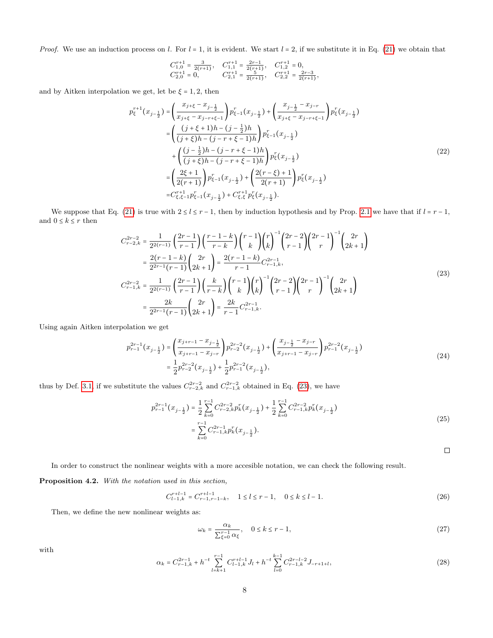*Proof.* We use an induction process on l. For  $l = 1$ , it is evident. We start  $l = 2$ , if we substitute it in Eq. [\(21\)](#page-6-1) we obtain that

$$
\begin{array}{lll}\nC_{1,0}^{r+1}=\frac{3}{2(r+1)},&\nC_{1,1}^{r+1}=\frac{2r-1}{2(r+1)},&\nC_{1,2}^{r+1}=0,\\
C_{2,0}^{r+1}=0,&\nC_{2,1}^{r+1}=\frac{5}{2(r+1)},&\nC_{2,2}^{r+1}=\frac{2r-3}{2(r+1)},\n\end{array}
$$

and by Aitken interpolation we get, let be  $\xi = 1,2$ , then

$$
p_{\xi}^{r+1}(x_{j-\frac{1}{2}}) = \left(\frac{x_{j+\xi} - x_{j-\frac{1}{2}}}{x_{j+\xi} - x_{j-r+\xi-1}}\right) p_{\xi-1}^r(x_{j-\frac{1}{2}}) + \left(\frac{x_{j-\frac{1}{2}} - x_{j-r}}{x_{j+\xi} - x_{j-r+\xi-1}}\right) p_{\xi}^r(x_{j-\frac{1}{2}})
$$
  
\n
$$
= \left(\frac{(j+\xi+1)h - (j-\frac{1}{2})h}{(j+\xi)h - (j-r+\xi-1)h}\right) p_{\xi-1}^r(x_{j-\frac{1}{2}})
$$
  
\n
$$
+ \left(\frac{(j-\frac{1}{2})h - (j-r+\xi-1)h}{(j+\xi)h - (j-r+\xi-1)h}\right) p_{\xi}^r(x_{j-\frac{1}{2}})
$$
  
\n
$$
= \left(\frac{2\xi+1}{2(r+1)}\right) p_{\xi-1}^r(x_{j-\frac{1}{2}}) + \left(\frac{2(r-\xi)+1}{2(r+1)}\right) p_{\xi}^r(x_{j-\frac{1}{2}})
$$
  
\n
$$
= C_{\xi,\xi-1}^{r+1} p_{\xi-1}^r(x_{j-\frac{1}{2}}) + C_{\xi,\xi}^{r+1} p_{\xi}^r(x_{j-\frac{1}{2}}).
$$
 (22)

We suppose that Eq. [\(21\)](#page-6-1) is true with  $2 \le l \le r - 1$ , then by induction hypothesis and by Prop. [2.1](#page-2-2) we have that if  $l = r - 1$ , and  $0\leq k\leq r$  then

<span id="page-7-1"></span>
$$
C_{r-2,k}^{2r-2} = \frac{1}{2^{2(r-1)}} \left(\frac{2r-1}{r-1}\right) \left(\frac{r-1-k}{r-k}\right) \binom{r-1}{k} \binom{r}{k}^{-1} \binom{2r-2}{r-1} \binom{2r-1}{r}^{-1} \binom{2r}{2k+1}
$$
  
\n
$$
= \frac{2(r-1-k)}{2^{2r-1}(r-1)} \binom{2r}{2k+1} = \frac{2(r-1-k)}{r-1} C_{r-1,k}^{2r-1},
$$
  
\n
$$
C_{r-1,k}^{2r-2} = \frac{1}{2^{2(r-1)}} \left(\frac{2r-1}{r-1}\right) \left(\frac{k}{r-k}\right) \binom{r-1}{k} \binom{r}{k}^{-1} \binom{2r-2}{r-1} \binom{2r-1}{r}^{-1} \binom{2r}{2k+1}
$$
  
\n
$$
= \frac{2k}{2^{2r-1}(r-1)} \binom{2r}{2k+1} = \frac{2k}{r-1} C_{r-1,k}^{2r-1}.
$$
  
\n(23)

Using again Aitken interpolation we get

$$
p_{r-1}^{2r-1}(x_{j-\frac{1}{2}}) = \left(\frac{x_{j+r-1} - x_{j-\frac{1}{2}}}{x_{j+r-1} - x_{j-r}}\right) p_{r-2}^{2r-2}(x_{j-\frac{1}{2}}) + \left(\frac{x_{j-\frac{1}{2}} - x_{j-r}}{x_{j+r-1} - x_{j-r}}\right) p_{r-1}^{2r-2}(x_{j-\frac{1}{2}})
$$
  

$$
= \frac{1}{2} p_{r-2}^{2r-2}(x_{j-\frac{1}{2}}) + \frac{1}{2} p_{r-1}^{2r-2}(x_{j-\frac{1}{2}}),
$$
 (24)

thus by Def. [3.1,](#page-5-3) if we substitute the values  $C_{r-2,k}^{2r-2}$  and  $C_{r-1,k}^{2r-2}$  obtained in Eq. [\(23\)](#page-7-1), we have

$$
p_{r-1}^{2r-1}(x_{j-\frac{1}{2}}) = \frac{1}{2} \sum_{k=0}^{r-1} C_{r-2,k}^{2r-2} p_k^r(x_{j-\frac{1}{2}}) + \frac{1}{2} \sum_{k=0}^{r-1} C_{r-1,k}^{2r-2} p_k^r(x_{j-\frac{1}{2}})
$$
  

$$
= \sum_{k=0}^{r-1} C_{r-1,k}^{2r-1} p_k^r(x_{j-\frac{1}{2}}).
$$
 (25)

 $\Box$ 

In order to construct the nonlinear weights with a more accesible notation, we can check the following result.

<span id="page-7-0"></span>Proposition 4.2. With the notation used in this section,

$$
C_{l-1,k}^{r+l-1} = C_{r-1,r-1-k}^{r+l-1}, \quad 1 \le l \le r-1, \quad 0 \le k \le l-1.
$$
 (26)

Then, we define the new nonlinear weights as:

<span id="page-7-3"></span>
$$
\omega_k = \frac{\alpha_k}{\sum_{\xi=0}^{r-1} \alpha_{\xi}}, \quad 0 \le k \le r-1,
$$
\n(27)

<span id="page-7-2"></span>with

$$
\alpha_k = C_{r-1,k}^{2r-1} + h^{-t} \sum_{l=k+1}^{r-1} C_{l-1,k}^{r+l-1} J_l + h^{-t} \sum_{l=0}^{k-1} C_{r-1,k}^{2r-l-2} J_{-r+1+l},\tag{28}
$$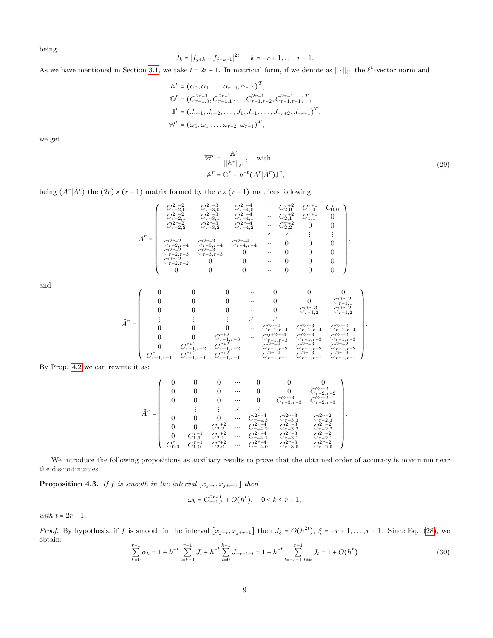being

$$
J_k = |f_{j+k} - f_{j+k-1}|^{2t}, \quad k = -r+1, \ldots, r-1.
$$

As we have mentioned in Section [3.1,](#page-4-1) we take  $t = 2r - 1$ . In matricial form, if we denote as  $|| \cdot ||_{\ell^1}$  the  $\ell^1$ -vector norm and

$$
\mathbb{A}^r = (\alpha_0, \alpha_1, ..., \alpha_{r-2}, \alpha_{r-1})^T,
$$
  
\n
$$
\mathbb{O}^r = (C_{r-1,0}^{2r-1}, C_{r-1,1}^{2r-1}, ..., C_{r-1,r-2}^{2r-1}, C_{r-1,r-1}^{2r-1})^T,
$$
  
\n
$$
\mathbb{J}^r = (J_{r-1}, J_{r-2}, ..., J_1, J_{-1}, ..., J_{-r+2}, J_{-r+1})^T,
$$
  
\n
$$
\mathbb{W}^r = (\omega_0, \omega_1, ..., \omega_{r-2}, \omega_{r-1})^T,
$$

we get

$$
\mathbb{W}^r = \frac{\mathbb{A}^r}{\|\mathbb{A}^r\|_{\ell^1}}, \quad \text{with}
$$
  

$$
\mathbb{A}^r = \mathbb{O}^r + h^{-t} (A^r | \tilde{A}^r) \mathbb{J}^r,
$$
 (29)

being  $(A^r | \tilde{A}^r)$  the  $(2r) \times (r-1)$  matrix formed by the  $r \times (r-1)$  matrices following:

$$
A^r=\left(\begin{array}{cccccc} C_{r-20}^{2r-2} & C_{r-30}^{2r-3} & C_{r-4,0}^{2r-4} & \cdots & C_{2,0}^{r+2} & C_{1,0}^{r+1} & C_{0,0}^{r} \\ C_{r-21}^{2r-2} & C_{r-3,1}^{2r-3} & C_{r-4,1}^{2r-4} & \cdots & C_{2,1}^{r+2} & C_{1,1}^{r+1} & 0 \\ C_{r-2,2}^{2r-2} & C_{r-3,2}^{2r-3} & C_{r-4,2}^{2r-4} & \cdots & C_{2,2}^{r+2} & 0 & 0 \\ \vdots & \vdots & \vdots & \vdots & \vdots & \vdots & \vdots & \vdots \\ C_{r-2,r-3}^{2r-2} & C_{r-3,r-4}^{2r-3} & C_{r-4,r-4}^{2r-4} & \cdots & 0 & 0 & 0 \\ C_{r-2,r-3}^{2r-2} & C_{r-3,r-3}^{2r-3} & 0 & \cdots & 0 & 0 & 0 \\ C_{r-2,r-2}^{2r-2} & 0 & 0 & \cdots & 0 & 0 & 0 \\ C_{r-2,r-2}^{2r-2} & 0 & 0 & \cdots & 0 & 0 & 0 \\ 0 & 0 & 0 & \cdots & 0 & 0 & 0 \end{array}\right),
$$

and

$$
\tilde{A}^r=\left(\begin{array}{ccccc} 0 & 0 & 0 & \cdots & 0 & 0 & 0 \\ 0 & 0 & 0 & \cdots & 0 & 0 & C_{r-1,1}^{2r-2} \\ 0 & 0 & 0 & \cdots & 0 & C_{r-1,2}^{2r-3} & C_{r-1,1}^{2r-2} \\ \vdots & \vdots & \vdots & \vdots & \ddots & \vdots & \vdots \\ 0 & 0 & 0 & \cdots & C_{r-1,r-4}^{2r-4} & C_{r-1,2}^{2r-3} & C_{r-1,2}^{2r-2} \\ 0 & 0 & C_{r-1,r-3}^{r+2} & \cdots & C_{r-1,r-4}^{r+2r-4} & C_{r-1,r-4}^{2r-3} & C_{r-1,2}^{2r-2} \\ 0 & C_{r-1,1}^{r+1} & C_{r-1,r-3}^{r+2} & \cdots & C_{r-1,r-3}^{r+2r-4} & C_{r-1,2}^{2r-3} & C_{r-1,2}^{2r-2} \\ C_{r-1,1}^r & C_{r-1,1}^r & C_{r-1,1}^{r+1} & C_{r-1,1}^{r+2} & \cdots & C_{r-1,r-1}^{2r-1} & C_{r-1,1}^{2r-1} & C_{r-1,2}^{2r-2} \end{array}\right).
$$

By Prop. [4.2](#page-7-0) we can rewrite it as:

$$
\tilde{A}^r=\left(\begin{array}{ccccccccc} 0 & 0 & 0 & \cdots & 0 & 0 & 0 & 0 \\ 0 & 0 & 0 & \cdots & 0 & 0 & C_{r-2,r-2}^{2r-2} \\ 0 & 0 & 0 & \cdots & 0 & C_{r-3,r-3}^{2r-3} & C_{r-2,r-3}^{2r-2} \\ \vdots & \vdots & \vdots & \vdots & \ddots & \vdots & \vdots \\ 0 & 0 & 0 & \cdots & C_{r-4,3}^{2r-4} & C_{r-3,3}^{2r-3} & C_{r-2,3}^{2r-2} \\ 0 & 0 & C_{2,2}^{r+4} & C_{r-4,3}^{2r-3} & C_{r-2,3}^{2r-2} \\ 0 & C_{1,1}^{r+1} & C_{2,1}^{r+2} & \cdots & C_{r-4,1}^{2r-4} & C_{r-3,1}^{2r-3} & C_{r-2,1}^{2r-2} \\ C_{0,0}^r & C_{1,0}^{r+1} & C_{2,0}^{r+2} & \cdots & C_{r-4,0}^{2r-4} & C_{r-3,0}^{2r-3} & C_{r-2,0}^{2r-2} \end{array}\right).
$$

We introduce the following propositions as auxiliary results to prove that the obtained order of accuracy is maximum near the discontinuities.

<span id="page-8-0"></span>**Proposition 4.3.** If f is smooth in the interval  $[x_{j-r}, x_{j+r-1}]$  then

$$
\omega_k = C_{r-1,k}^{2r-1} + O(h^t), \quad 0 \le k \le r-1,
$$

with  $t = 2r - 1$ .

*Proof.* By hypothesis, if f is smooth in the interval  $[x_{j-r}, x_{j+r-1}]$  then  $J_{\xi} = O(h^{2t})$ ,  $\xi = -r + 1, \ldots, r - 1$ . Since Eq. [\(28\)](#page-7-2), we obtain:

$$
\sum_{k=0}^{r-1} \alpha_k = 1 + h^{-t} \sum_{l=k+1}^{r-1} J_l + h^{-t} \sum_{l=0}^{k-1} J_{-r+1+l} = 1 + h^{-t} \sum_{l=-r+1, l\neq k}^{r-1} J_l = 1 + O(h^t)
$$
\n(30)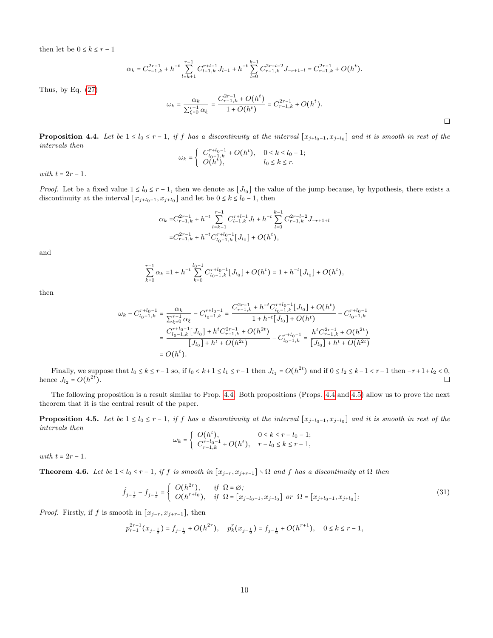then let be  $0\leq k\leq r-1$ 

$$
\alpha_k=C_{r-1,k}^{2r-1}+h^{-t}\sum_{l=k+1}^{r-1}C_{l-1,k}^{r+l-1}J_{l-1}+h^{-t}\sum_{l=0}^{k-1}C_{r-1,k}^{2r-l-2}J_{-r+1+l}=C_{r-1,k}^{2r-1}+O\big(h^{t}\big).
$$

Thus, by Eq.  $(27)$ 

$$
\omega_k = \frac{\alpha_k}{\sum_{\xi=0}^{r-1} \alpha_{\xi}} = \frac{C_{r-1,k}^{2r-1} + O(h^t)}{1 + O(h^t)} = C_{r-1,k}^{2r-1} + O(h^t).
$$

<span id="page-9-0"></span>**Proposition 4.4.** Let be  $1 \le l_0 \le r - 1$ , if f has a discontinuity at the interval  $[x_{j+l_0-1}, x_{j+l_0}]$  and it is smooth in rest of the intervals then

$$
\omega_k = \begin{cases} C_{l_0-1,k}^{r+l_0-1} + O(h^t), & 0 \le k \le l_0 - 1; \\ O(h^t), & l_0 \le k \le r. \end{cases}
$$

with  $t = 2r - 1$ .

*Proof.* Let be a fixed value  $1 \leq l_0 \leq r-1$ , then we denote as  $[J_{l_0}]$  the value of the jump because, by hypothesis, there exists a discontinuity at the interval  $[x_{j+l_0-1}, x_{j+l_0}]$  and let be  $0 \le k \le l_0 - 1$ , then

$$
\alpha_k = C_{r-1,k}^{2r-1} + h^{-t} \sum_{l=k+1}^{r-1} C_{l-1,k}^{r+l-1} J_l + h^{-t} \sum_{l=0}^{k-1} C_{r-1,k}^{2r-l-2} J_{-r+1+l}
$$
  
= 
$$
C_{r-1,k}^{2r-1} + h^{-t} C_{l_0-1,k}^{r+l_0-1} [J_{l_0}] + O(h^t),
$$

and

$$
\sum_{k=0}^{r-1} \alpha_k = 1 + h^{-t} \sum_{k=0}^{l_0-1} C_{l_0-1,k}^{r+l_0-1} [J_{l_0}] + O(h^t) = 1 + h^{-t} [J_{l_0}] + O(h^t),
$$

then

$$
\begin{aligned} \omega_k - C_{l_0-1,k}^{r+l_0-1} &= \frac{\alpha_k}{\sum_{\xi=0}^{r-1}\alpha_\xi} - C_{l_0-1,k}^{r+l_0-1} = \frac{C_{r-1,k}^{2r-1} + h^{-t}C_{l_0-1,k}^{r+l_0-1}\left[J_{l_0}\right] + O\big(h^t\big)}{1 + h^{-t}\left[J_{l_0}\right] + O\big(h^t\big)} - C_{l_0-1,k}^{r+l_0-1} \\ &= \frac{C_{l_0-1,k}^{r+l_0-1}\left[J_{l_0}\right] + h^{t}C_{r-1,k}^{2r-1} + O\big(h^{2t}\big)}{\left[J_{l_0}\right] + h^{t} + O\big(h^{2t}\big)} - C_{l_0-1,k}^{r+l_0-1} = \frac{h^{t}C_{r-1,k}^{2r-1} + O\big(h^{2t}\big)}{\left[J_{l_0}\right] + h^{t} + O\big(h^{2t}\big)} \\ &= O\big(h^t). \end{aligned}
$$

Finally, we suppose that  $l_0 \le k \le r-1$  so, if  $l_0 < k+1 \le l_1 \le r-1$  then  $J_{l_1} = O(h^{2t})$  and if  $0 \le l_2 \le k-1 < r-1$  then  $-r+1+l_2 < 0$ , hence  $J_{l_2} = O(h^{2t})$ .  $\Box$ 

The following proposition is a result similar to Prop. [4.4.](#page-9-0) Both propositions (Props. [4.4](#page-9-0) and [4.5\)](#page-9-1) allow us to prove the next theorem that it is the central result of the paper.

<span id="page-9-1"></span>**Proposition 4.5.** Let be  $1 \leq l_0 \leq r-1$ , if f has a discontinuity at the interval  $[x_{j-l_0-1}, x_{j-l_0}]$  and it is smooth in rest of the intervals then

$$
\omega_k = \begin{cases} O(h^t), & 0 \le k \le r - l_0 - 1; \\ C_{r-1,k}^{r-l_0-1} + O(h^t), & r - l_0 \le k \le r - 1, \end{cases}
$$

with  $t = 2r - 1$ .

<span id="page-9-2"></span>**Theorem 4.6.** Let be  $1 \le l_0 \le r - 1$ , if f is smooth in  $[x_{j-r}, x_{j+r-1}] \setminus \Omega$  and f has a discontinuity at  $\Omega$  then

$$
\hat{f}_{j-\frac{1}{2}} - f_{j-\frac{1}{2}} = \begin{cases} O(h^{2r}), & \text{if } \Omega = \varnothing; \\ O(h^{r+l_0}), & \text{if } \Omega = [x_{j-l_0-1}, x_{j-l_0}] \text{ or } \Omega = [x_{j+l_0-1}, x_{j+l_0}]; \end{cases}
$$
\n(31)

*Proof.* Firstly, if f is smooth in  $[x_{j-r}, x_{j+r-1}]$ , then

$$
p_{r-1}^{2r-1}(x_{j-\frac{1}{2}}) = f_{j-\frac{1}{2}} + O(h^{2r}), \quad p_k^r(x_{j-\frac{1}{2}}) = f_{j-\frac{1}{2}} + O(h^{r+1}), \quad 0 \le k \le r-1,
$$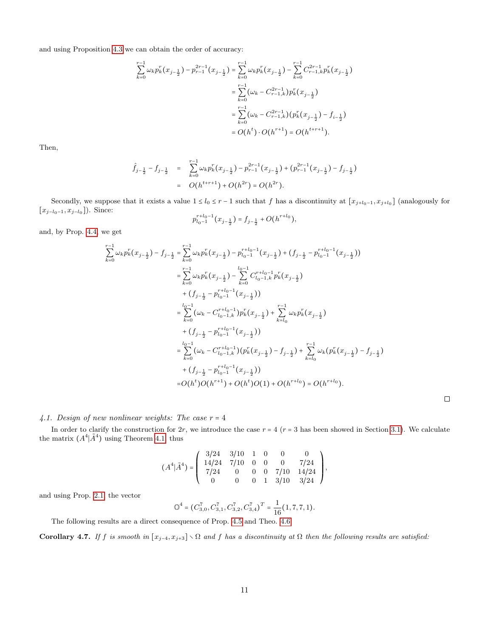and using Proposition [4.3](#page-8-0) we can obtain the order of accuracy:

$$
\sum_{k=0}^{r-1} \omega_k p_k^r(x_{j-\frac{1}{2}}) - p_{r-1}^{2r-1}(x_{j-\frac{1}{2}}) = \sum_{k=0}^{r-1} \omega_k p_k^r(x_{j-\frac{1}{2}}) - \sum_{k=0}^{r-1} C_{r-1,k}^{2r-1} p_k^r(x_{j-\frac{1}{2}})
$$
  

$$
= \sum_{k=0}^{r-1} (\omega_k - C_{r-1,k}^{2r-1}) p_k^r(x_{j-\frac{1}{2}})
$$
  

$$
= \sum_{k=0}^{r-1} (\omega_k - C_{r-1,k}^{2r-1}) (p_k^r(x_{j-\frac{1}{2}}) - f_{i-\frac{1}{2}})
$$
  

$$
= O(h^t) \cdot O(h^{r+1}) = O(h^{t+r+1}).
$$

Then,

$$
\hat{f}_{j-\frac{1}{2}} - f_{j-\frac{1}{2}} = \sum_{k=0}^{r-1} \omega_k p_k^r(x_{j-\frac{1}{2}}) - p_{r-1}^{2r-1}(x_{j-\frac{1}{2}}) + (p_{r-1}^{2r-1}(x_{j-\frac{1}{2}}) - f_{j-\frac{1}{2}})
$$
  
=  $O(h^{t+r+1}) + O(h^{2r}) = O(h^{2r}).$ 

Secondly, we suppose that it exists a value  $1 \leq l_0 \leq r-1$  such that f has a discontinuity at  $[x_{j+l_0-1}, x_{j+l_0}]$  (analogously for  $[x_{j-l_0-1}, x_{j-l_0}]$ ). Since:

$$
p_{l_0-1}^{r+l_0-1}(x_{j-\frac{1}{2}})=f_{j-\frac{1}{2}}+O(h^{r+l_0}),
$$

and, by Prop. [4.4,](#page-9-0) we get

$$
\sum_{k=0}^{r-1} \omega_k p_k^r(x_{j-\frac{1}{2}}) - f_{j-\frac{1}{2}} = \sum_{k=0}^{r-1} \omega_k p_k^r(x_{j-\frac{1}{2}}) - p_{l_0-1}^{r+l_0-1}(x_{j-\frac{1}{2}}) + (f_{j-\frac{1}{2}} - p_{l_0-1}^{r+l_0-1}(x_{j-\frac{1}{2}}))
$$
  
\n
$$
= \sum_{k=0}^{r-1} \omega_k p_k^r(x_{j-\frac{1}{2}}) - \sum_{k=0}^{l_0-1} C_{l_0-1,k}^{r+l_0-1} p_k^r(x_{j-\frac{1}{2}})
$$
  
\n
$$
+ (f_{j-\frac{1}{2}} - p_{l_0-1}^{r+l_0-1}(x_{j-\frac{1}{2}}))
$$
  
\n
$$
= \sum_{k=0}^{l_0-1} (\omega_k - C_{l_0-1,k}^{r+l_0-1}) p_k^r(x_{j-\frac{1}{2}}) + \sum_{k=l_0}^{r-1} \omega_k p_k^r(x_{j-\frac{1}{2}})
$$
  
\n
$$
+ (f_{j-\frac{1}{2}} - p_{l_0-1}^{r+l_0-1}(x_{j-\frac{1}{2}}))
$$
  
\n
$$
= \sum_{k=0}^{l_0-1} (\omega_k - C_{l_0-1,k}^{r+l_0-1})(p_k^r(x_{j-\frac{1}{2}}) - f_{j-\frac{1}{2}}) + \sum_{k=l_0}^{r-1} \omega_k (p_k^r(x_{j-\frac{1}{2}}) - f_{j-\frac{1}{2}})
$$
  
\n
$$
+ (f_{j-\frac{1}{2}} - p_{l_0-1}^{r+l_0-1}(x_{j-\frac{1}{2}}))
$$
  
\n
$$
= O(h^t)O(h^{r+1}) + O(h^t)O(1) + O(h^{r+l_0}) = O(h^{r+l_0}).
$$

 $\Box$ 

# <span id="page-10-0"></span>4.1. Design of new nonlinear weights: The case  $r = 4$

In order to clarify the construction for  $2r$ , we introduce the case  $r = 4$  ( $r = 3$  has been showed in Section [3.1\)](#page-4-1). We calculate the matrix  $(A^4 | \tilde{A}^4)$  using Theorem [4.1,](#page-6-2) thus

$$
(A^4|\tilde{A}^4)=\left(\begin{array}{cccccc}3/24&3/10&1&0&0&0\\14/24&7/10&0&0&0&7/24\\7/24&0&0&0&7/10&14/24\\0&0&0&1&3/10&3/24\end{array}\right),
$$

and using Prop. [2.1,](#page-2-2) the vector

$$
\mathbb{O}^4 = (C_{3,0}^7, C_{3,1}^7, C_{3,2}^7, C_{3,4}^7)^T = \frac{1}{16}(1, 7, 7, 1).
$$

The following results are a direct consequence of Prop. [4.5](#page-9-1) and Theo. [4.6](#page-9-2)

Corollary 4.7. If f is smooth in  $[x_{j-4}, x_{j+3}] \setminus \Omega$  and f has a discontinuity at  $\Omega$  then the following results are satisfied: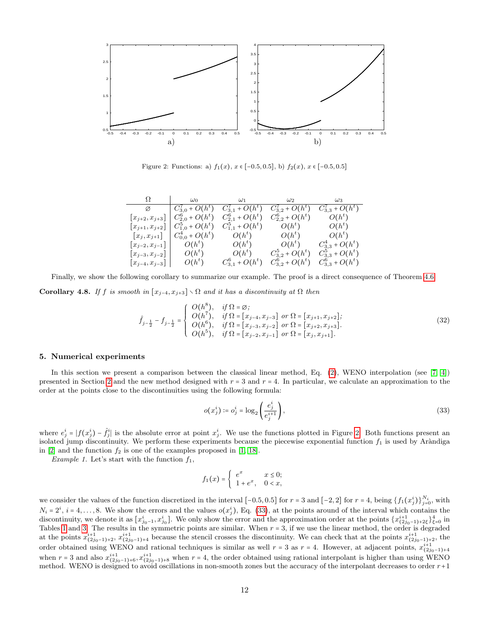<span id="page-11-1"></span>

Figure 2: Functions: a)  $f_1(x)$ ,  $x \in [-0.5, 0.5]$ , b)  $f_2(x)$ ,  $x \in [-0.5, 0.5]$ 

| Ω                                  | $\omega_0$                                | $\omega_1$           | $\omega_2$                 | $\omega_3$               |
|------------------------------------|-------------------------------------------|----------------------|----------------------------|--------------------------|
| Ø                                  | $  C_{3,0}^7 + O(h^t) C_{3,1}^7 + O(h^t)$ |                      | $C'_{3,2}$ + $O(h^t)$      | $C'_{3,3}$ + $O(h^t)$    |
| $\lfloor x_{j+2}, x_{j+3}\rfloor$  | $C_{2,0}^6$ + $O(h^t)$                    | $C_{2,1}^6 + O(h^t)$ | $C_{2,2}^6 + O(h^t)$       | $O(h^t)$                 |
| $[x_{j+1}, x_{j+2}]$               | $C_{1,0}^5 + O(h^t)$                      | $C_{1,1}^5 + O(h^t)$ | $O(h^t)$                   | $O(h^t)$                 |
| $\left x_i, x_{i+1}\right $        | $C_{0,0}^4$ + $O(h^t)$                    | $O(h^t)$             | $O(h^t)$                   | $O(h^t)$                 |
| $[x_{j-2}, x_{j-1}]$               | $O(h^t)$                                  | $O(h^t)$             | $O(h^t)$                   | $C_{3,3}^4$ + $O(h^t)$   |
| $\lfloor x_{j-3}, x_{j-2} \rfloor$ | $O(h^t)$                                  | $O(h^t)$             | $C_{3,2}^5 + O(h^t)$       | $C_{3,3}^5 + O(h^t)$     |
| $\lfloor x_{j-4}, x_{j-3}\rfloor$  | $O(h^t)$                                  | $C_{3,1}^6 + O(h^t)$ | $C_{3,2}^{6}$ + $O(h^{t})$ | $C_{3,3}^{6}$ + $O(h^t)$ |

Finally, we show the following corollary to summarize our example. The proof is a direct consequence of Theorem [4.6.](#page-9-2)

Corollary 4.8. If f is smooth in  $[x_{j-4}, x_{j+3}] \setminus \Omega$  and it has a discontinuity at  $\Omega$  then

$$
\hat{f}_{j-\frac{1}{2}} - f_{j-\frac{1}{2}} = \begin{cases}\nO(h^8), & if \Omega = \varnothing; \\
O(h^7), & if \Omega = [x_{j-4}, x_{j-3}] \text{ or } \Omega = [x_{j+1}, x_{j+2}]; \\
O(h^6), & if \Omega = [x_{j-3}, x_{j-2}] \text{ or } \Omega = [x_{j+2}, x_{j+3}]. \\
O(h^5), & if \Omega = [x_{j-2}, x_{j-1}] \text{ or } \Omega = [x_j, x_{j+1}].\n\end{cases}
$$
\n(32)

### <span id="page-11-0"></span>5. Numerical experiments

In this section we present a comparison between the classical linear method, Eq. [\(2\)](#page-1-1), WENO interpolation (see [\[7,](#page-12-6) [4\]](#page-12-3)) presented in Section [2](#page-1-2) and the new method designed with  $r = 3$  and  $r = 4$ . In particular, we calculate an approximation to the order at the points close to the discontinuities using the following formula:

<span id="page-11-2"></span>
$$
o(x_j^i) \coloneqq o_j^i = \log_2\left(\frac{e_j^i}{e_j^{i+1}}\right),\tag{33}
$$

where  $e^i_j = |f(x_j^i) - \hat{f}^i_j|$  is the absolute error at point  $x_j^i$ . We use the functions plotted in Figure [2.](#page-11-1) Both functions present an isolated jump discontinuity. We perform these experiments because the piecewise exponential function  $f_1$  is used by Aràndiga in [\[2\]](#page-12-1) and the function  $f_2$  is one of the examples proposed in [\[1,](#page-12-0) [18\]](#page-13-2).

Example 1. Let's start with the function  $f_1$ ,

$$
f_1(x) = \begin{cases} e^x & x \le 0; \\ 1 + e^x, & 0 < x, \end{cases}
$$

we consider the values of the function discretized in the interval  $[-0.5, 0.5]$  for  $r = 3$  and  $[-2, 2]$  for  $r = 4$ , being  $\{f_1(x_j^i)\}_{j=0}^{N_i}$ , with  $N_i = 2^i$ ,  $i = 4, \ldots, 8$ . We show the errors and the values  $o(x_j^i)$ , Eq. [\(33\)](#page-11-2), at the points around of the interval which contains the discontinuity, we denote it as  $[x_{j_0-1}^i, x_{j_0}^i]$ . We only show the error and the approximation order at the points  $\{x_{(2j_0-1)+2\xi}^{i+1}\}_{\xi=0}^4$  in Tables [1](#page-13-3) and [3.](#page-14-0) The results in the symmetric points are similar. When  $r = 3$ , if we use the linear method, the order is degraded at the points  $x_{(2j_0-1)+2}^{i+1}$ ,  $x_{(2j_0-1)+4}^{i+1}$  because the stencil crosses the discontinuity. We can check that at the points  $x_{(2j_0-1)+2}^{i+1}$ , the order obtained using WENO and rational techniques is similar as well  $r = 3$  as  $r = 4$ . However, at adjacent points,  $x_{(2j_0-1)+4}^{i+1}$ when  $r = 3$  and also  $x_{(2j_0-1)+6}^{i+1}$ ,  $x_{(2j_0-1)+8}^{i+1}$  when  $r = 4$ , the order obtained using rational interpolant is higher than using WENO method. WENO is designed to avoid oscillations in non-smooth zones but the accuracy of the interpolant decreases to order  $r+1$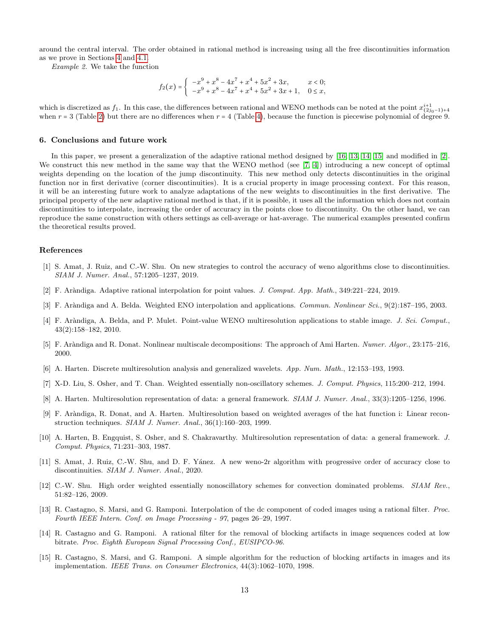around the central interval. The order obtained in rational method is increasing using all the free discontinuities information as we prove in Sections [4](#page-6-0) and [4.1.](#page-10-0)

Example 2. We take the function

$$
f_2(x) = \begin{cases} -x^9 + x^8 - 4x^7 + x^4 + 5x^2 + 3x, & x < 0; \\ -x^9 + x^8 - 4x^7 + x^4 + 5x^2 + 3x + 1, & 0 \le x, \end{cases}
$$

which is discretized as  $f_1$ . In this case, the differences between rational and WENO methods can be noted at the point  $x_{(2j_0-1)+4}^{i+1}$ when  $r = 3$  (Table [2\)](#page-13-4) but there are no differences when  $r = 4$  (Table [4\)](#page-14-1), because the function is piecewise polynomial of degree 9.

#### <span id="page-12-15"></span>6. Conclusions and future work

In this paper, we present a generalization of the adaptive rational method designed by [\[16,](#page-13-0) [13,](#page-12-12) [14,](#page-12-13) [15\]](#page-12-14) and modified in [\[2\]](#page-12-1). We construct this new method in the same way that the WENO method (see [\[7,](#page-12-6) [4\]](#page-12-3)) introducing a new concept of optimal weights depending on the location of the jump discontinuity. This new method only detects discontinuities in the original function nor in first derivative (corner discontinuities). It is a crucial property in image processing context. For this reason, it will be an interesting future work to analyze adaptations of the new weights to discontinuities in the first derivative. The principal property of the new adaptive rational method is that, if it is possible, it uses all the information which does not contain discontinuities to interpolate, increasing the order of accuracy in the points close to discontinuity. On the other hand, we can reproduce the same construction with others settings as cell-average or hat-average. The numerical examples presented confirm the theoretical results proved.

### References

- <span id="page-12-0"></span>[1] S. Amat, J. Ruiz, and C.-W. Shu. On new strategies to control the accuracy of weno algorithms close to discontinuities. SIAM J. Numer. Anal., 57:1205–1237, 2019.
- <span id="page-12-1"></span>[2] F. Ar`andiga. Adaptive rational interpolation for point values. J. Comput. App. Math., 349:221–224, 2019.
- <span id="page-12-2"></span>[3] F. Aràndiga and A. Belda. Weighted ENO interpolation and applications. Commun. Nonlinear Sci., 9(2):187–195, 2003.
- <span id="page-12-3"></span>[4] F. Aràndiga, A. Belda, and P. Mulet. Point-value WENO multiresolution applications to stable image. J. Sci. Comput., 43(2):158–182, 2010.
- <span id="page-12-4"></span>[5] F. Aràndiga and R. Donat. Nonlinear multiscale decompositions: The approach of Ami Harten. Numer. Algor., 23:175–216, 2000.
- <span id="page-12-5"></span>[6] A. Harten. Discrete multiresolution analysis and generalized wavelets. App. Num. Math., 12:153–193, 1993.
- <span id="page-12-6"></span>[7] X-D. Liu, S. Osher, and T. Chan. Weighted essentially non-oscillatory schemes. J. Comput. Physics, 115:200–212, 1994.
- <span id="page-12-7"></span>[8] A. Harten. Multiresolution representation of data: a general framework. SIAM J. Numer. Anal., 33(3):1205–1256, 1996.
- <span id="page-12-8"></span>[9] F. Ar`andiga, R. Donat, and A. Harten. Multiresolution based on weighted averages of the hat function i: Linear reconstruction techniques. SIAM J. Numer. Anal., 36(1):160–203, 1999.
- <span id="page-12-9"></span>[10] A. Harten, B. Engquist, S. Osher, and S. Chakravarthy. Multiresolution representation of data: a general framework. J. Comput. Physics, 71:231–303, 1987.
- <span id="page-12-10"></span>[11] S. Amat, J. Ruiz, C.-W. Shu, and D. F. Yánez. A new weno-2r algorithm with progressive order of accuracy close to discontinuities. SIAM J. Numer. Anal., 2020.
- <span id="page-12-11"></span>[12] C.-W. Shu. High order weighted essentially nonoscillatory schemes for convection dominated problems. SIAM Rev., 51:82–126, 2009.
- <span id="page-12-12"></span>[13] R. Castagno, S. Marsi, and G. Ramponi. Interpolation of the dc component of coded images using a rational filter. Proc. Fourth IEEE Intern. Conf. on Image Processing - 97, pages 26–29, 1997.
- <span id="page-12-13"></span>[14] R. Castagno and G. Ramponi. A rational filter for the removal of blocking artifacts in image sequences coded at low bitrate. Proc. Eighth European Signal Processing Conf., EUSIPCO-96.
- <span id="page-12-14"></span>[15] R. Castagno, S. Marsi, and G. Ramponi. A simple algorithm for the reduction of blocking artifacts in images and its implementation. IEEE Trans. on Consumer Electronics, 44(3):1062–1070, 1998.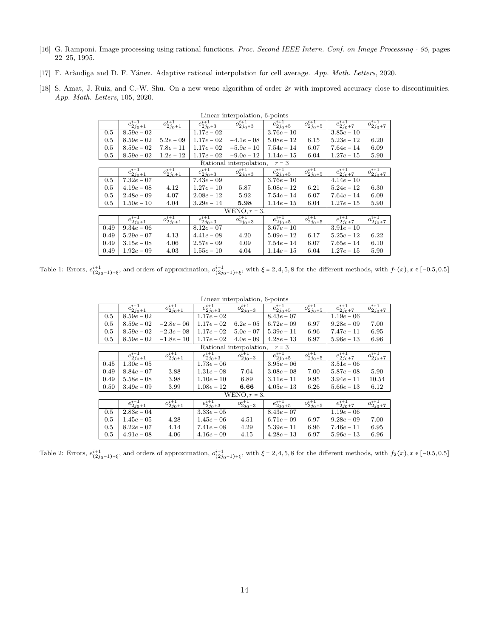- <span id="page-13-0"></span>[16] G. Ramponi. Image processing using rational functions. Proc. Second IEEE Intern. Conf. on Image Processing - 95, pages 22–25, 1995.
- <span id="page-13-1"></span>[17] F. Aràndiga and D. F. Yánez. Adaptive rational interpolation for cell average. App. Math. Letters, 2020.
- <span id="page-13-3"></span><span id="page-13-2"></span>[18] S. Amat, J. Ruiz, and C.-W. Shu. On a new weno algorithm of order  $2r$  with improved accuracy close to discontinuities. App. Math. Letters, 105, 2020.

| енноси нностронаснот, о роннос |                       |                       |                    |                         |                       |                               |                       |                       |  |
|--------------------------------|-----------------------|-----------------------|--------------------|-------------------------|-----------------------|-------------------------------|-----------------------|-----------------------|--|
|                                | $e^{i+1}$<br>$2j_0+1$ | $o^{i+1}$<br>$2j_0+1$ | $e^{i+1}_{2j_0+3}$ | $o^{i+1}$<br>$2j_0+3$   | $e^{i+1}$<br>$2j_0+5$ | $\overline{o_{2j_0+5}^{i+1}}$ | $e^{i+1}$<br>$2j_0+7$ | $o^{i+1}$<br>$2j_0+7$ |  |
| 0.5                            | $8.59e - 02$          |                       | $1.17e - 02$       |                         | $3.76e - 10$          |                               | $3.85e - 10$          |                       |  |
| 0.5                            | $8.59e - 02$          | $5.2e - 09$           | $1.17e - 02$       | $-4.1e-08$              | $5.08e - 12$          | 6.15                          | $5.23e - 12$          | 6.20                  |  |
| 0.5                            | $8.59e - 02$          | $7.8e - 11$           | $1.17e - 02$       | $-5.9e-10$              | $7.54e - 14$          | 6.07                          | $7.64e - 14$          | 6.09                  |  |
| 0.5                            | $8.59e - 02$          | $1.2e - 12$           | $1.17e - 02$       | $-9.0e-12$              | $1.14e - 15$          | 6.04                          | $1.27e - 15$          | 5.90                  |  |
|                                |                       |                       |                    | Rational interpolation, | $r=3$                 |                               |                       |                       |  |
|                                | $e^{i+1}_{2j_0+1}$    | $o_{2j_0+1}^{i+1}$    | $e^{i+1}_{2j_0+3}$ | $o_{2j_0+3}^{i+1}$      | $e^{i+1}_{2j_0+5}$    | $o^{i+1}_{2j_0+5}$            | $e^{i+1}_{2j_0+7}$    | $o_{2j_0+7}^{i+1}$    |  |
| 0.5                            | $7.32e - 07$          |                       | $7.43e - 09$       |                         | $3.76e - 10$          |                               | $4.14e - 10$          |                       |  |
| 0.5                            | $4.19e - 08$          | 4.12                  | $1.27e - 10$       | 5.87                    | $5.08e - 12$          | 6.21                          | $5.24e - 12$          | 6.30                  |  |
| 0.5                            | $2.48e - 09$          | 4.07                  | $2.08e - 12$       | 5.92                    | $7.54e - 14$          | 6.07                          | $7.64e - 14$          | 6.09                  |  |
| $0.5\,$                        | $1.50e - 10$          | 4.04                  | $3.29e - 14$       | 5.98                    | $1.14e - 15$          | 6.04                          | $1.27e - 15$          | 5.90                  |  |
|                                |                       |                       |                    | $WENO, r = 3.$          |                       |                               |                       |                       |  |
|                                | $e^{i+1}_{2j_0+1}$    | $o_{2j_0+1}^{i+1}$    | $e^{i+1}_{2j_0+3}$ | $o^{i+1}$<br>$2j_0+3$   | $e^{i+1}_{2j_0+5}$    | $o_{2j_0+5}^{i+1}$            | $e^{i+1}_{2j_0+7}$    | $o_{2j_0+7}^{i+1}$    |  |
| 0.49                           | $9.34e - 06$          |                       | $8.12e - 07$       |                         | $3.67e - 10$          |                               | $3.91e - 10$          |                       |  |
| 0.49                           | $5.29e - 07$          | 4.13                  | $4.41e-08$         | 4.20                    | $5.09e - 12$          | 6.17                          | $5.25e - 12$          | 6.22                  |  |
| 0.49                           | $3.15e - 08$          | 4.06                  | $2.57e - 09$       | 4.09                    | $7.54e - 14$          | 6.07                          | $7.65e - 14$          | 6.10                  |  |
| 0.49                           | $1.92e - 0.9$         | 4.03                  | $1.55e - 10$       | 4.04                    | $1.14e - 15$          | 6.04                          | $1.27e - 15$          | 5.90                  |  |

Linear interpolation, 6-points

<span id="page-13-4"></span>Table 1: Errors,  $e^{i+1}_{(2j_0-1)+\xi}$ , and orders of approximation,  $o^{i+1}_{(2j_0-1)+\xi}$ , with  $\xi = 2, 4, 5, 8$  for the different methods, with  $f_1(x)$ ,  $x \in [-0.5, 0.5]$ 

| Linear interpolation, b-points |                           |                    |                       |                         |                       |                    |                    |                    |  |
|--------------------------------|---------------------------|--------------------|-----------------------|-------------------------|-----------------------|--------------------|--------------------|--------------------|--|
|                                | $e^{i+1}_{2j_0+1}$        | $o_{2j_0+1}^{i+1}$ | $e^{i+1}$<br>$2j_0+3$ | $o_{2j_0+3}^{i+1}$      | $e^{i+1}$<br>$2j_0+5$ | $o_{2j_0+5}^{i+1}$ | $e^{i+1}_{2j_0+7}$ | $o_{2j_0+7}^{i+1}$ |  |
| 0.5                            | $8.59e - 02$              |                    | $1.17e - 02$          |                         | $8.43e - 07$          |                    | $1.19e - 06$       |                    |  |
| 0.5                            | $8.59e - 02$              | $-2.8e-06$         | $1.17e - 02$          | $6.2e - 0.5$            | $6.72e - 09$          | 6.97               | $9.28e - 09$       | 7.00               |  |
| 0.5                            | $8.59e - 02$              | $-2.3e-0.8$        | $1.17e - 02$          | $5.0e - 07$             | $5.39e - 11$          | 6.96               | $7.47e - 11$       | 6.95               |  |
| $0.5\,$                        | $8.59e - 02$              | $-1.8e-10$         | $1.17e - 02$          | $4.0e - 0.9$            | $4.28e - 13$          | 6.97               | $5.96e - 13$       | 6.96               |  |
|                                |                           |                    |                       | Rational interpolation, | $r=3$                 |                    |                    |                    |  |
|                                | $e^{i+1}_{2j_0+1}$        | $o_{2j_0+1}^{i+1}$ | $e^{i+1}_{2j_0+3}$    | $o_{2j_0+3}^{i+1}$      | $e^{i+1}_{2j_0+5}$    | $o_{2j_0+5}^{i+1}$ | $e^{i+1}_{2j_0+7}$ | $o_{2j_0+7}^{i+1}$ |  |
| 0.45                           | $1.30e - 05$              |                    | $1.73e - 06$          |                         | $3.95e - 06$          |                    | $3.51e - 06$       |                    |  |
| 0.49                           | $8.84e - 07$              | 3.88               | $1.31e-08$            | 7.04                    | $3.08e - 08$          | 7.00               | $5.87e - 08$       | 5.90               |  |
| 0.49                           | $5.58e - 08$              | 3.98               | $1.10e - 10$          | 6.89                    | $3.11e - 11$          | 9.95               | $3.94e - 11$       | 10.54              |  |
| 0.50                           | $3.49e - 09$              | 3.99               | $1.08e - 12$          | 6.66                    | $4.05e - 13$          | 6.26               | $5.66e - 13$       | 6.12               |  |
|                                |                           |                    |                       | $WENO, r = 3.$          |                       |                    |                    |                    |  |
|                                | $e^{i+1}$<br>$e_{2j_0+1}$ | $o_{2j_0+1}^{i+1}$ | $e^{i+1}$<br>$2j_0+3$ | $o_{2j_0+3}^{i+1}$      | $e^{i+1}_{2j_0+5}$    | $o_{2j_0+5}^{i+1}$ | $e^{i+1}_{2j_0+7}$ | $o_{2j_0+7}^{i+1}$ |  |
| 0.5                            | $2.83e - 04$              |                    | $3.33e - 05$          |                         | $8.43e - 07$          |                    | $1.19e - 06$       |                    |  |
| 0.5                            | $1.45e - 05$              | 4.28               | $1.45e - 06$          | 4.51                    | $6.71e - 09$          | 6.97               | $9.28e - 09$       | 7.00               |  |
| 0.5                            | $8.22e - 07$              | 4.14               | $7.41e - 08$          | 4.29                    | $5.39e - 11$          | 6.96               | $7.46e - 11$       | 6.95               |  |
| 0.5                            | $4.91e-08$                | 4.06               | $4.16e - 09$          | 4.15                    | $4.28e - 13$          | 6.97               | $5.96e - 13$       | 6.96               |  |

 $\alpha$  interpolation, 6-points

Table 2: Errors,  $e^{i+1}_{(2j_0-1)+\xi}$ , and orders of approximation,  $o^{i+1}_{(2j_0-1)+\xi}$ , with  $\xi = 2, 4, 5, 8$  for the different methods, with  $f_2(x)$ ,  $x \in [-0.5, 0.5]$